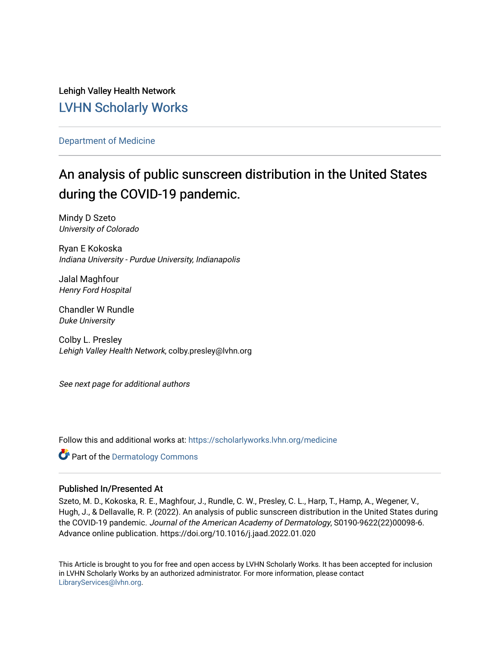Lehigh Valley Health Network [LVHN Scholarly Works](https://scholarlyworks.lvhn.org/)

# [Department of Medicine](https://scholarlyworks.lvhn.org/medicine)

# An analysis of public sunscreen distribution in the United States during the COVID-19 pandemic.

Mindy D Szeto University of Colorado

Ryan E Kokoska Indiana University - Purdue University, Indianapolis

Jalal Maghfour Henry Ford Hospital

Chandler W Rundle Duke University

Colby L. Presley Lehigh Valley Health Network, colby.presley@lvhn.org

See next page for additional authors

Follow this and additional works at: [https://scholarlyworks.lvhn.org/medicine](https://scholarlyworks.lvhn.org/medicine?utm_source=scholarlyworks.lvhn.org%2Fmedicine%2F1896&utm_medium=PDF&utm_campaign=PDFCoverPages) 

Part of the [Dermatology Commons](https://network.bepress.com/hgg/discipline/684?utm_source=scholarlyworks.lvhn.org%2Fmedicine%2F1896&utm_medium=PDF&utm_campaign=PDFCoverPages) 

# Published In/Presented At

Szeto, M. D., Kokoska, R. E., Maghfour, J., Rundle, C. W., Presley, C. L., Harp, T., Hamp, A., Wegener, V., Hugh, J., & Dellavalle, R. P. (2022). An analysis of public sunscreen distribution in the United States during the COVID-19 pandemic. Journal of the American Academy of Dermatology, S0190-9622(22)00098-6. Advance online publication. https://doi.org/10.1016/j.jaad.2022.01.020

This Article is brought to you for free and open access by LVHN Scholarly Works. It has been accepted for inclusion in LVHN Scholarly Works by an authorized administrator. For more information, please contact [LibraryServices@lvhn.org](mailto:LibraryServices@lvhn.org).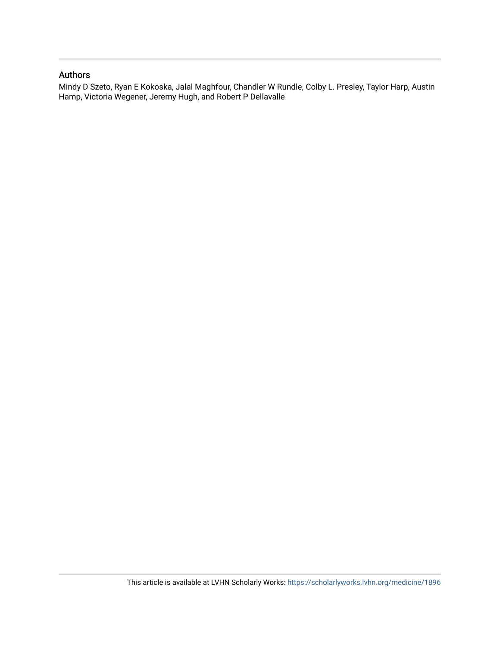# Authors

Mindy D Szeto, Ryan E Kokoska, Jalal Maghfour, Chandler W Rundle, Colby L. Presley, Taylor Harp, Austin Hamp, Victoria Wegener, Jeremy Hugh, and Robert P Dellavalle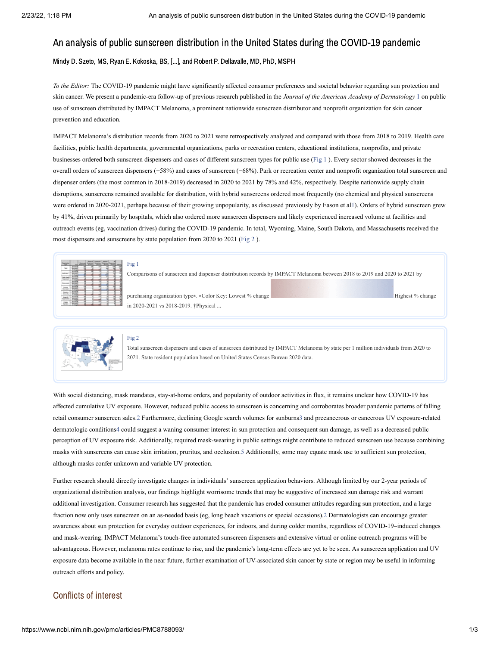# An analysis of public sunscreen distribution in the United States during the COVID-19 pandemic

Mindy D. Szeto, MS, Ryan E. Kokoska, BS, [...], and Robert P. Dellavalle, MD, PhD, MSPH

*To the Editor:* The COVID-19 pandemic might have significantly affected consumer preferences and societal behavior regarding sun protection and skin cancer. We present a pandemic-era follow-up of previous research published in the *Journal of the American Academy of Dermatology* [1](#page-3-0) on public use of sunscreen distributed by IMPACT Melanoma, a prominent nationwide sunscreen distributor and nonprofit organization for skin cancer prevention and education.

IMPACT Melanoma's distribution records from 2020 to 2021 were retrospectively analyzed and compared with those from 2018 to 2019. Health care facilities, public health departments, governmental organizations, parks or recreation centers, educational institutions, nonprofits, and private businesses ordered both sunscreen dispensers and cases of different sunscreen types for public use ([Fig](https://www.ncbi.nlm.nih.gov/pmc/articles/PMC8788093/figure/fig1/?report=objectonly) 1 ). Every sector showed decreases in the overall orders of sunscreen dispensers (−58%) and cases of sunscreen (−68%). Park or recreation center and nonprofit organization total sunscreen and dispenser orders (the most common in 2018-2019) decreased in 2020 to 2021 by 78% and 42%, respectively. Despite nationwide supply chain disruptions, sunscreens remained available for distribution, with hybrid sunscreens ordered most frequently (no chemical and physical sunscreens were ordered in 2020-2021, perhaps because of their growing unpopularity, as discussed previously by Eason et a[l1](#page-3-0)). Orders of hybrid sunscreen grew by 41%, driven primarily by hospitals, which also ordered more sunscreen dispensers and likely experienced increased volume at facilities and outreach events (eg, vaccination drives) during the COVID-19 pandemic. In total, Wyoming, Maine, South Dakota, and Massachusetts received the most dispensers and sunscreens by state population from 2020 to 2021 [\(Fig](https://www.ncbi.nlm.nih.gov/pmc/articles/PMC8788093/figure/fig2/?report=objectonly) 2 ).

mparisons of sunscreen and dispenser distribution records by IMPACT Melanoma between 2018 to 2019 and 2020 to 2021 by

purchasing organization type∗. ∗Color Key: Lowest % change Highest % change in 2020-2021 vs 2018-2019. †Physical ...

### [Fig](https://www.ncbi.nlm.nih.gov/pmc/articles/PMC8788093/figure/fig2/?report=objectonly) 2

 $\mathbf{1}$ 

Total sunscreen dispensers and cases of sunscreen distributed by IMPACT Melanoma by state per 1 million individuals from 2020 to 2021. State resident population based on United States Census Bureau 2020 data.

With social distancing, mask mandates, stay-at-home orders, and popularity of outdoor activities in flux, it remains unclear how COVID-19 has affected cumulative UV exposure. However, reduced public access to sunscreen is concerning and corroborates broader pandemic patterns of falling retail consumer sunscreen sales.[2](#page-4-0) Furthermore, declining Google search volumes for sunburn[s3](#page-4-1) and precancerous or cancerous UV exposure-related dermatologic condition[s4](#page-4-2) could suggest a waning consumer interest in sun protection and consequent sun damage, as well as a decreased public perception of UV exposure risk. Additionally, required mask-wearing in public settings might contribute to reduced sunscreen use because combining masks with sunscreens can cause skin irritation, pruritus, and occlusion[.5](#page-4-3) Additionally, some may equate mask use to sufficient sun protection, although masks confer unknown and variable UV protection.

Further research should directly investigate changes in individuals' sunscreen application behaviors. Although limited by our 2-year periods of organizational distribution analysis, our findings highlight worrisome trends that may be suggestive of increased sun damage risk and warrant additional investigation. Consumer research has suggested that the pandemic has eroded consumer attitudes regarding sun protection, and a large fraction now only uses sunscreen on an as-needed basis (eg, long beach vacations or special occasions)[.2](#page-4-0) Dermatologists can encourage greater awareness about sun protection for everyday outdoor experiences, for indoors, and during colder months, regardless of COVID-19–induced changes and mask-wearing. IMPACT Melanoma's touch-free automated sunscreen dispensers and extensive virtual or online outreach programs will be advantageous. However, melanoma rates continue to rise, and the pandemic's long-term effects are yet to be seen. As sunscreen application and UV exposure data become available in the near future, further examination of UV-associated skin cancer by state or region may be useful in informing outreach efforts and policy.

### Conflicts of interest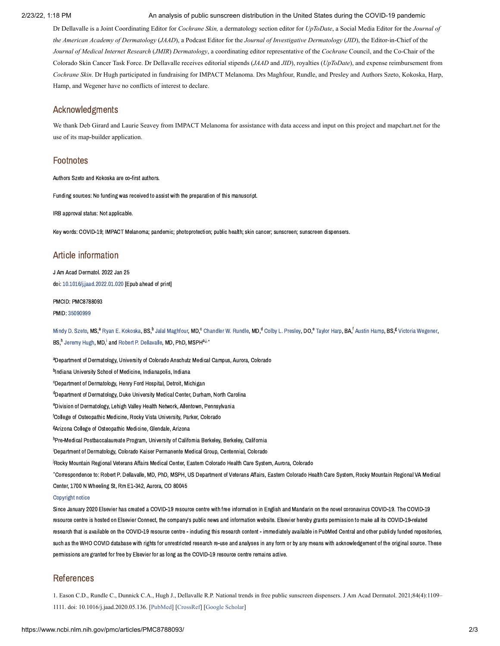#### 2/23/22, 1:18 PM An analysis of public sunscreen distribution in the United States during the COVID-19 pandemic

Dr Dellavalle is a Joint Coordinating Editor for *Cochrane Skin,* a dermatology section editor for *UpToDate*, a Social Media Editor for the *Journal of the American Academy of Dermatology* (*JAAD*), a Podcast Editor for the *Journal of Investigative Dermatology* (*JID*), the Editor-in-Chief of the *Journal of Medical Internet Research* (*JMIR*) *Dermatology*, a coordinating editor representative of the *Cochrane* Council, and the Co-Chair of the Colorado Skin Cancer Task Force. Dr Dellavalle receives editorial stipends (*JAAD* and *JID*), royalties (*UpToDate*), and expense reimbursement from *Cochrane Skin*. Dr Hugh participated in fundraising for IMPACT Melanoma. Drs Maghfour, Rundle, and Presley and Authors Szeto, Kokoska, Harp, Hamp, and Wegener have no conflicts of interest to declare.

# Acknowledgments

We thank Deb Girard and Laurie Seavey from IMPACT Melanoma for assistance with data access and input on this project and mapchart.net for the use of its map-builder application.

## Footnotes

Authors Szeto and Kokoska are co-first authors.

Funding sources: No funding was received to assist with the preparation of this manuscript.

IRB approval status: Not applicable.

Key words: COVID-19; IMPACT Melanoma; pandemic; photoprotection; public health; skin cancer; sunscreen; sunscreen dispensers.

# Article information

J Am Acad Dermatol. 2022 Jan 25 doi: [10.1016/j.jaad.2022.01.020](https://dx.doi.org/10.1016%2Fj.jaad.2022.01.020) [Epub ahead of print]

#### PMCID: PMC8788093

PMID: [35090999](https://www.ncbi.nlm.nih.gov/pubmed/35090999)

[Mindy](https://www.ncbi.nlm.nih.gov/pubmed/?term=Szeto%20MD%5BAuthor%5D&cauthor=true&cauthor_uid=35090999) D. Szeto, MS.<sup>a</sup> Ryan E. [Kokoska,](https://www.ncbi.nlm.nih.gov/pubmed/?term=Kokoska%20RE%5BAuthor%5D&cauthor=true&cauthor_uid=35090999) BS.<sup>b</sup> Jalal [Maghfour,](https://www.ncbi.nlm.nih.gov/pubmed/?term=Maghfour%20J%5BAuthor%5D&cauthor=true&cauthor_uid=35090999) MD.<sup>c</sup> [Chandler](https://www.ncbi.nlm.nih.gov/pubmed/?term=Rundle%20CW%5BAuthor%5D&cauthor=true&cauthor_uid=35090999) W. Rundle, MD.<sup>d</sup> Colby L. [Presley,](https://www.ncbi.nlm.nih.gov/pubmed/?term=Presley%20CL%5BAuthor%5D&cauthor=true&cauthor_uid=35090999) DO.<sup>e</sup> [Taylor](https://www.ncbi.nlm.nih.gov/pubmed/?term=Harp%20T%5BAuthor%5D&cauthor=true&cauthor_uid=35090999) Harp, BA.<sup>f</sup> Austin [Hamp,](https://www.ncbi.nlm.nih.gov/pubmed/?term=Hamp%20A%5BAuthor%5D&cauthor=true&cauthor_uid=35090999) BS.<sup>g</sup> Victoria [Wegener,](https://www.ncbi.nlm.nih.gov/pubmed/?term=Wegener%20V%5BAuthor%5D&cauthor=true&cauthor_uid=35090999) BS,<sup>h</sup> [Jeremy](https://www.ncbi.nlm.nih.gov/pubmed/?term=Hugh%20J%5BAuthor%5D&cauthor=true&cauthor_uid=35090999) Hugh, MD,<sup>i</sup> and Robert P. [Dellavalle,](https://www.ncbi.nlm.nih.gov/pubmed/?term=Dellavalle%20RP%5BAuthor%5D&cauthor=true&cauthor_uid=35090999) MD, PhD, MSPH<sup>a,j,</sup>\*

<sup>a</sup> Department of Dermatology, University of Colorado Anschutz Medical Campus, Aurora, Colorado <sup>b</sup>Indiana University School of Medicine, Indianapolis, Indiana <sup>c</sup>Department of Dermatology, Henry Ford Hospital, Detroit, Michigan <sup>d</sup>Department of Dermatology, Duke University Medical Center, Durham, North Carolina <sup>e</sup>Division of Dermatology, Lehigh Valley Health Network, Allentown, Pennsylvania <sup>f</sup>College of Osteopathic Medicine, Rocky Vista University, Parker, Colorado  ${}^{\rm g}$ Arizona College of Osteopathic Medicine, Glendale, Arizona <sup>h</sup>Pre-Medical Postbaccalaureate Program, University of California Berkeley, Berkeley, California <sup>i</sup>Department of Dermatology, Colorado Kaiser Permanente Medical Group, Centennial, Colorado .<br><sup>İ</sup>Rocky Mountain Regional Veterans Affairs Medical Center, Eastern Colorado Health Care System, Aurora, Colorado Correspondence to: Robert P. Dellavalle, MD, PhD, MSPH, US Department of Veterans Affairs, Eastern Colorado Health Care System, Rocky Mountain Regional VA Medical ∗Center, 1700 N Wheeling St, Rm E1-342, Aurora, CO 80045

#### [Copyright](https://www.ncbi.nlm.nih.gov/pmc/about/copyright/) notice

Since January 2020 Elsevier has created a COVID-19 resource centre with free information in English and Mandarin on the novel coronavirus COVID-19. The COVID-19 resource centre is hosted on Elsevier Connect, the company's public news and information website. Elsevier hereby grants permission to make all its COVID-19-related research that is available on the COVID-19 resource centre - including this research content - immediately available in PubMed Central and other publicly funded repositories, such as the WHO COVID database with rights for unrestricted research re-use and analyses in any form or by any means with acknowledgement of the original source. These permissions are granted for free by Elsevier for as long as the COVID-19 resource centre remains active.

## References

<span id="page-3-0"></span>1. Eason C.D., Rundle C., Dunnick C.A., Hugh J., Dellavalle R.P. National trends in free public sunscreen dispensers. J Am Acad Dermatol. 2021;84(4):1109– 1111. doi: 10.1016/j.jaad.2020.05.136. [[PubMed](https://www.ncbi.nlm.nih.gov/pubmed/32504723)] [\[CrossRef](https://dx.doi.org/10.1016%2Fj.jaad.2020.05.136)] [\[Google Scholar\]](https://scholar.google.com/scholar_lookup?journal=J+Am+Acad+Dermatol&title=National+trends+in+free+public+sunscreen+dispensers&author=C.D.+Eason&author=C.+Rundle&author=C.A.+Dunnick&author=J.+Hugh&author=R.P.+Dellavalle&volume=84&issue=4&publication_year=2021&pages=1109-1111&pmid=32504723&doi=10.1016/j.jaad.2020.05.136&)